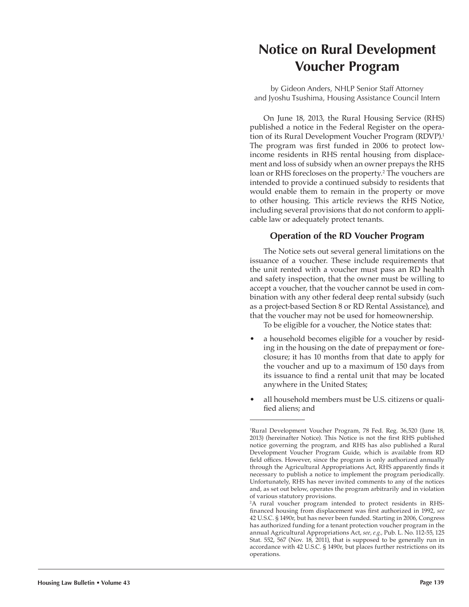# **Notice on Rural Development Voucher Program**

by Gideon Anders, NHLP Senior Staff Attorney and Jyoshu Tsushima, Housing Assistance Council Intern

On June 18, 2013, the Rural Housing Service (RHS) published a notice in the Federal Register on the operation of its Rural Development Voucher Program (RDVP).<sup>1</sup> The program was first funded in 2006 to protect lowincome residents in RHS rental housing from displacement and loss of subsidy when an owner prepays the RHS loan or RHS forecloses on the property.<sup>2</sup> The vouchers are intended to provide a continued subsidy to residents that would enable them to remain in the property or move to other housing. This article reviews the RHS Notice, including several provisions that do not conform to applicable law or adequately protect tenants.

### **Operation of the RD Voucher Program**

The Notice sets out several general limitations on the issuance of a voucher. These include requirements that the unit rented with a voucher must pass an RD health and safety inspection, that the owner must be willing to accept a voucher, that the voucher cannot be used in combination with any other federal deep rental subsidy (such as a project-based Section 8 or RD Rental Assistance), and that the voucher may not be used for homeownership.

To be eligible for a voucher, the Notice states that:

- a household becomes eligible for a voucher by residing in the housing on the date of prepayment or foreclosure; it has 10 months from that date to apply for the voucher and up to a maximum of 150 days from its issuance to find a rental unit that may be located anywhere in the United States;
- all household members must be U.S. citizens or qualified aliens; and

<sup>1</sup> Rural Development Voucher Program, 78 Fed. Reg. 36,520 (June 18, 2013) (hereinafter Notice). This Notice is not the first RHS published notice governing the program, and RHS has also published a Rural Development Voucher Program Guide, which is available from RD field offices. However, since the program is only authorized annually through the Agricultural Appropriations Act, RHS apparently finds it necessary to publish a notice to implement the program periodically. Unfortunately, RHS has never invited comments to any of the notices and, as set out below, operates the program arbitrarily and in violation of various statutory provisions.

<sup>2</sup> A rural voucher program intended to protect residents in RHSfinanced housing from displacement was first authorized in 1992, *see* 42 U.S.C. § 1490r, but has never been funded. Starting in 2006, Congress has authorized funding for a tenant protection voucher program in the annual Agricultural Appropriations Act, *see, e.g.,* Pub. L. No. 112-55, 125 Stat. 552, 567 (Nov. 18, 2011), that is supposed to be generally run in accordance with 42 U.S.C. § 1490r, but places further restrictions on its operations.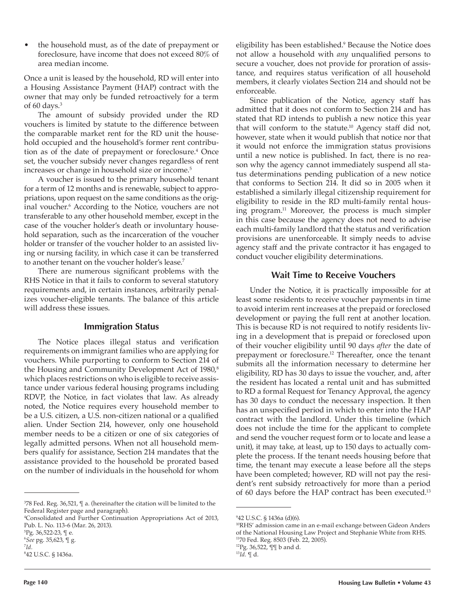• the household must, as of the date of prepayment or foreclosure, have income that does not exceed 80% of area median income.

Once a unit is leased by the household, RD will enter into a Housing Assistance Payment (HAP) contract with the owner that may only be funded retroactively for a term of 60 days.<sup>3</sup>

The amount of subsidy provided under the RD vouchers is limited by statute to the difference between the comparable market rent for the RD unit the household occupied and the household's former rent contribution as of the date of prepayment or foreclosure.<sup>4</sup> Once set, the voucher subsidy never changes regardless of rent increases or change in household size or income.<sup>5</sup>

A voucher is issued to the primary household tenant for a term of 12 months and is renewable, subject to appropriations, upon request on the same conditions as the original voucher.<sup>6</sup> According to the Notice, vouchers are not transferable to any other household member, except in the case of the voucher holder's death or involuntary household separation, such as the incarceration of the voucher holder or transfer of the voucher holder to an assisted living or nursing facility, in which case it can be transferred to another tenant on the voucher holder's lease.<sup>7</sup>

There are numerous significant problems with the RHS Notice in that it fails to conform to several statutory requirements and, in certain instances, arbitrarily penalizes voucher-eligible tenants. The balance of this article will address these issues.

#### **Immigration Status**

The Notice places illegal status and verification requirements on immigrant families who are applying for vouchers. While purporting to conform to Section 214 of the Housing and Community Development Act of 1980,<sup>8</sup> which places restrictions on who is eligible to receive assistance under various federal housing programs including RDVP, the Notice, in fact violates that law. As already noted, the Notice requires every household member to be a U.S. citizen, a U.S. non-citizen national or a qualified alien. Under Section 214, however, only one household member needs to be a citizen or one of six categories of legally admitted persons. When not all household members qualify for assistance, Section 214 mandates that the assistance provided to the household be prorated based on the number of individuals in the household for whom

eligibility has been established.<sup>9</sup> Because the Notice does not allow a household with *any* unqualified persons to secure a voucher, does not provide for proration of assistance, and requires status verification of all household members, it clearly violates Section 214 and should not be enforceable.

Since publication of the Notice, agency staff has admitted that it does not conform to Section 214 and has stated that RD intends to publish a new notice this year that will conform to the statute.<sup>10</sup> Agency staff did not, however, state when it would publish that notice nor that it would not enforce the immigration status provisions until a new notice is published. In fact, there is no reason why the agency cannot immediately suspend all status determinations pending publication of a new notice that conforms to Section 214. It did so in 2005 when it established a similarly illegal citizenship requirement for eligibility to reside in the RD multi-family rental housing program.11 Moreover, the process is much simpler in this case because the agency does not need to advise each multi-family landlord that the status and verification provisions are unenforceable. It simply needs to advise agency staff and the private contractor it has engaged to conduct voucher eligibility determinations.

### **Wait Time to Receive Vouchers**

Under the Notice, it is practically impossible for at least some residents to receive voucher payments in time to avoid interim rent increases at the prepaid or foreclosed development or paying the full rent at another location. This is because RD is not required to notify residents living in a development that is prepaid or foreclosed upon of their voucher eligibility until 90 days *after* the date of prepayment or foreclosure.12 Thereafter, once the tenant submits all the information necessary to determine her eligibility, RD has 30 days to issue the voucher, and, after the resident has located a rental unit and has submitted to RD a formal Request for Tenancy Approval, the agency has 30 days to conduct the necessary inspection. It then has an unspecified period in which to enter into the HAP contract with the landlord. Under this timeline (which does not include the time for the applicant to complete and send the voucher request form or to locate and lease a unit), it may take, at least, up to 150 days to actually complete the process. If the tenant needs housing before that time, the tenant may execute a lease before all the steps have been completed; however, RD will not pay the resident's rent subsidy retroactively for more than a period of 60 days before the HAP contract has been executed.<sup>13</sup>

<sup>3</sup> 78 Fed. Reg. 36,521, ¶ a. (hereinafter the citation will be limited to the Federal Register page and paragraph).

<sup>4</sup> Consolidated and Further Continuation Appropriations Act of 2013, Pub. L. No. 113-6 (Mar. 26, 2013).

<sup>5</sup> Pg. 36,522-23, ¶ e.

<sup>6</sup> *See* pg. 35,623, ¶ g.

<sup>7</sup> *Id.* 8 42 U.S.C. § 1436a.

<sup>9</sup> 42 U.S.C. § 1436a (d)(6).

<sup>&</sup>lt;sup>10</sup>RHS' admission came in an e-mail exchange between Gideon Anders of the National Housing Law Project and Stephanie White from RHS. <sup>11</sup>70 Fed. Reg. 8503 (Feb. 22, 2005).

<sup>12</sup>Pg. 36,522, ¶¶ b and d.

 $^{13}Id.$  ¶ d.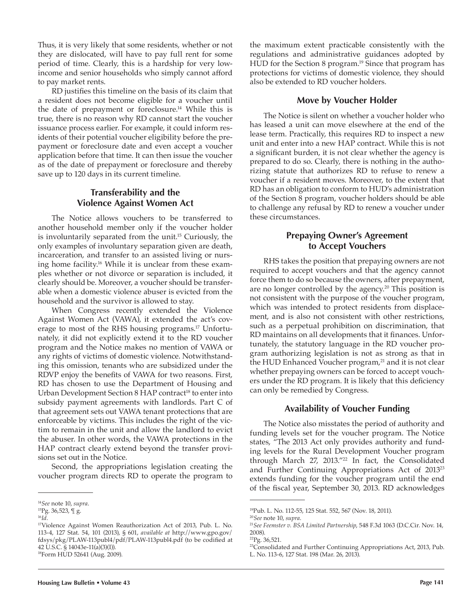Thus, it is very likely that some residents, whether or not they are dislocated, will have to pay full rent for some period of time. Clearly, this is a hardship for very lowincome and senior households who simply cannot afford to pay market rents.

RD justifies this timeline on the basis of its claim that a resident does not become eligible for a voucher until the date of prepayment or foreclosure.<sup>14</sup> While this is true, there is no reason why RD cannot start the voucher issuance process earlier. For example, it could inform residents of their potential voucher eligibility before the prepayment or foreclosure date and even accept a voucher application before that time. It can then issue the voucher as of the date of prepayment or foreclosure and thereby save up to 120 days in its current timeline.

## **Transferability and the Violence Against Women Act**

The Notice allows vouchers to be transferred to another household member only if the voucher holder is involuntarily separated from the unit.15 Curiously, the only examples of involuntary separation given are death, incarceration, and transfer to an assisted living or nursing home facility.<sup>16</sup> While it is unclear from these examples whether or not divorce or separation is included, it clearly should be. Moreover, a voucher should be transferable when a domestic violence abuser is evicted from the household and the survivor is allowed to stay.

When Congress recently extended the Violence Against Women Act (VAWA), it extended the act's coverage to most of the RHS housing programs.<sup>17</sup> Unfortunately, it did not explicitly extend it to the RD voucher program and the Notice makes no mention of VAWA or any rights of victims of domestic violence. Notwithstanding this omission, tenants who are subsidized under the RDVP enjoy the benefits of VAWA for two reasons. First, RD has chosen to use the Department of Housing and Urban Development Section 8 HAP contract<sup>18</sup> to enter into subsidy payment agreements with landlords. Part C of that agreement sets out VAWA tenant protections that are enforceable by victims. This includes the right of the victim to remain in the unit and allow the landlord to evict the abuser. In other words, the VAWA protections in the HAP contract clearly extend beyond the transfer provisions set out in the Notice.

Second, the appropriations legislation creating the voucher program directs RD to operate the program to

<sup>18</sup>Form HUD 52641 (Aug. 2009).

the maximum extent practicable consistently with the regulations and administrative guidances adopted by HUD for the Section 8 program.<sup>19</sup> Since that program has protections for victims of domestic violence, they should also be extended to RD voucher holders.

## **Move by Voucher Holder**

The Notice is silent on whether a voucher holder who has leased a unit can move elsewhere at the end of the lease term. Practically, this requires RD to inspect a new unit and enter into a new HAP contract. While this is not a significant burden, it is not clear whether the agency is prepared to do so. Clearly, there is nothing in the authorizing statute that authorizes RD to refuse to renew a voucher if a resident moves. Moreover, to the extent that RD has an obligation to conform to HUD's administration of the Section 8 program, voucher holders should be able to challenge any refusal by RD to renew a voucher under these circumstances.

## **Prepaying Owner's Agreement to Accept Vouchers**

RHS takes the position that prepaying owners are not required to accept vouchers and that the agency cannot force them to do so because the owners, after prepayment, are no longer controlled by the agency.<sup>20</sup> This position is not consistent with the purpose of the voucher program, which was intended to protect residents from displacement, and is also not consistent with other restrictions, such as a perpetual prohibition on discrimination, that RD maintains on all developments that it finances. Unfortunately, the statutory language in the RD voucher program authorizing legislation is not as strong as that in the HUD Enhanced Voucher program,<sup>21</sup> and it is not clear whether prepaying owners can be forced to accept vouchers under the RD program. It is likely that this deficiency can only be remedied by Congress.

## **Availability of Voucher Funding**

The Notice also misstates the period of authority and funding levels set for the voucher program. The Notice states, "The 2013 Act only provides authority and funding levels for the Rural Development Voucher program through March 27, 2013."<sup>22</sup> In fact, the Consolidated and Further Continuing Appropriations Act of 201323 extends funding for the voucher program until the end of the fiscal year, September 30, 2013. RD acknowledges

<sup>14</sup>*See* note 10, *supra*.

 $^{15}{\rm Pg}.$  36,523,  $\mathbb {T}$ g.

 $^{16}Id.$ <sup>17</sup>Violence Against Women Reauthorization Act of 2013, Pub. L. No. 113-4, 127 Stat. 54, 101 (2013), § 601, *available at* http://www.gpo.gov/ fdsys/pkg/PLAW-113publ4/pdf/PLAW-113publ4.pdf (to be codified at 42 U.S.C. § 14043e-11(a)(3)(I)).

<sup>19</sup>Pub. L. No. 112-55, 125 Stat. 552, 567 (Nov. 18, 2011).

<sup>20</sup>*See* note 10, *supra*.

<sup>21</sup>*See Feemster v. BSA Limited Partnership*, 548 F.3d 1063 (D.C.Cir. Nov. 14, 2008).

<sup>22</sup>Pg. 36,521.

<sup>&</sup>lt;sup>23</sup>Consolidated and Further Continuing Appropriations Act, 2013, Pub. L. No. 113-6, 127 Stat. 198 (Mar. 26, 2013).